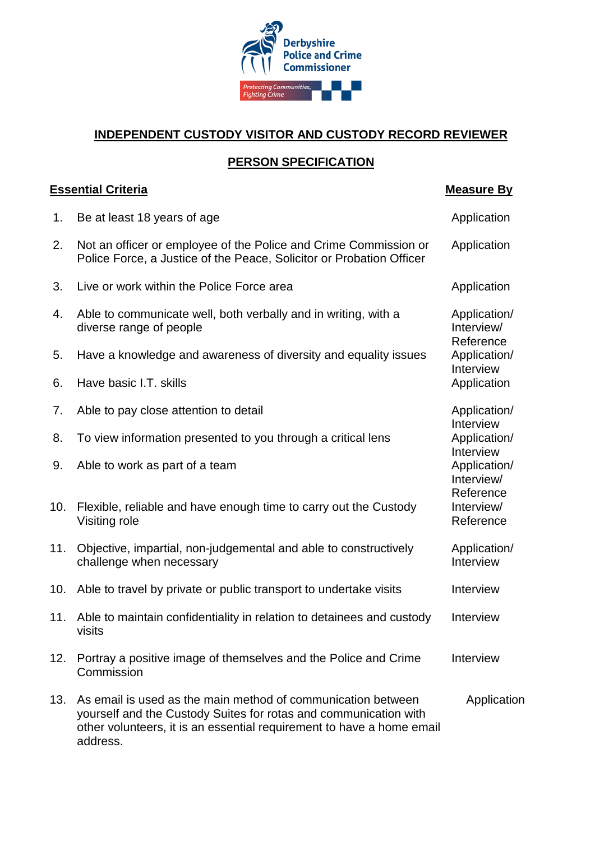

## **INDEPENDENT CUSTODY VISITOR AND CUSTODY RECORD REVIEWER**

## **PERSON SPECIFICATION**

## **Essential Criteria** Measure By 1. Be at least 18 years of age Application and the Application 2. Not an officer or employee of the Police and Crime Commission or Police Force, a Justice of the Peace, Solicitor or Probation Officer Application 3. Live or work within the Police Force area **Application** 4. Able to communicate well, both verbally and in writing, with a diverse range of people Application/ Interview/ Reference 5. Have a knowledge and awareness of diversity and equality issues Application/ Interview 6. Have basic I.T. skills and the state of the state of the Application 7. Able to pay close attention to detail and application and application Application and Application Application Interview 8. To view information presented to you through a critical lens Application/ Interview 9. Able to work as part of a team Application/ Interview/ Reference 10. Flexible, reliable and have enough time to carry out the Custody Visiting role Interview/ **Reference** 11. Objective, impartial, non-judgemental and able to constructively challenge when necessary Application/ Interview 10. Able to travel by private or public transport to undertake visits **Interview** 11. Able to maintain confidentiality in relation to detainees and custody visits Interview 12. Portray a positive image of themselves and the Police and Crime Commission Interview 13. As email is used as the main method of communication between yourself and the Custody Suites for rotas and communication with other volunteers, it is an essential requirement to have a home email address. **Application**